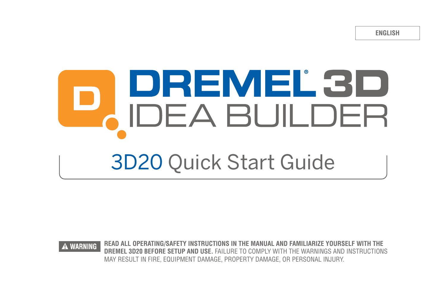**ENGLISH**

# DREMEL 3D<br>IDEA BUILDER 3D20 Quick Start Guide



**WARNING READ ALL OPERATING/SAFETY INSTRUCTIONS IN THE MANUAL AND FAMILIARIZE YOURSELF WITH THE DREMEL 3D20 BEFORE SETUP AND USE.** FAILURE TO COMPLY WITH THE WARNINGS AND INSTRUCTIONS MAY RESULT IN FIRE, EQUIPMENT DAMAGE, PROPERTY DAMAGE, OR PERSONAL INJURY.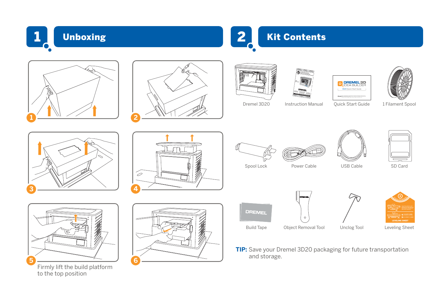

## Unboxing **2 Kit Contents**











Dremel 3D20 Instruction Manual Quick Start Guide 1 Filament Spool







Firmly lift the build platform to the top position









Spool Lock Power Cable USB Cable SD Card

**DREMEL** 





**TIP:** Save your Dremel 3D20 packaging for future transportation and storage.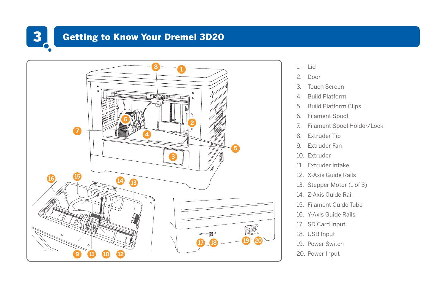

# 3 Getting to Know Your Dremel 3D20



- 1. Lid
- 2. Door
- 3. Touch Screen
- 4. Build Platform
- 5. Build Platform Clips
- 6. Filament Spool
- 7. Filament Spool Holder/Lock
- 8. Extruder Tip
- 9. Extruder Fan
- 10. Extruder
- 11. Extruder Intake
- 12. X-Axis Guide Rails
- 13. Stepper Motor (1 of 3)
- 14. Z-Axis Guide Rail
- 15. Filament Guide Tube
- 16. Y-Axis Guide Rails
- 17. SD Card Input
- 18. USB Input
- 19. Power Switch
- 20. Power Input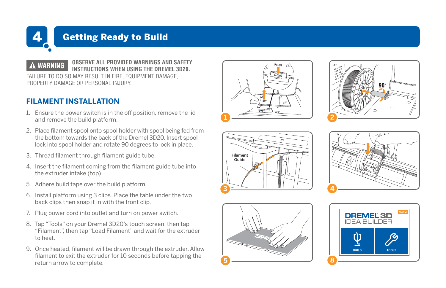

### 4 Getting Ready to Build

**WARNING OBSERVE ALL PROVIDED WARNINGS AND SAFETY INSTRUCTIONS WHEN USING THE DREMEL 3D20.**  FAILURE TO DO SO MAY RESULT IN FIRE, EQUIPMENT DAMAGE, PROPERTY DAMAGE OR PERSONAL INJURY.

#### **FILAMENT INSTALLATION**

- 1. Ensure the power switch is in the off position, remove the lid and remove the build platform.
- 2. Place filament spool onto spool holder with spool being fed from the bottom towards the back of the Dremel 3D20. Insert spool lock into spool holder and rotate 90 degrees to lock in place.
- 3. Thread filament through filament guide tube.
- 4. Insert the filament coming from the filament guide tube into the extruder intake (top).
- 5. Adhere build tape over the build platform.
- 6. Install platform using 3 clips. Place the table under the two back clips then snap it in with the front clip.
- 7. Plug power cord into outlet and turn on power switch.
- 8. Tap "Tools" on your Dremel 3D20's touch screen, then tap "Filament", then tap "Load Filament" and wait for the extruder to heat.
- 9. Once heated, filament will be drawn through the extruder. Allow filament to exit the extruder for 10 seconds before tapping the return arrow to complete.











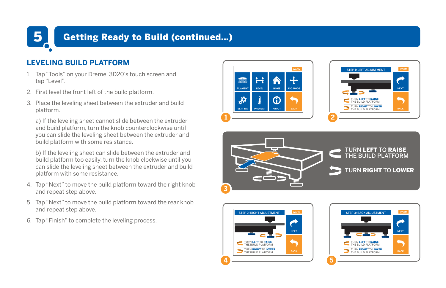#### **5** Getting Ready to Build (continued...)

#### **LEVELING BUILD PLATFORM**

- 1. Tap "Tools" on your Dremel 3D20's touch screen and tap "Level".
- 2. First level the front left of the build platform.
- 3. Place the leveling sheet between the extruder and build platform.

 a) If the leveling sheet cannot slide between the extruder and build platform, turn the knob counterclockwise until you can slide the leveling sheet between the extruder and build platform with some resistance.

 b) If the leveling sheet can slide between the extruder and build platform too easily, turn the knob clockwise until you can slide the leveling sheet between the extruder and build platform with some resistance.

- 4. Tap "Next" to move the build platform toward the right knob and repeat step above.
- 5 Tap "Next" to move the build platform toward the rear knob and repeat step above.
- 6. Tap "Finish" to complete the leveling process.









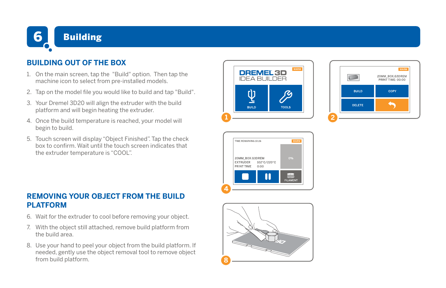

#### **BUILDING OUT OF THE BOX**

- 1. On the main screen, tap the "Build" option. Then tap the machine icon to select from pre-installed models.
- 2. Tap on the model file you would like to build and tap "Build".
- 3. Your Dremel 3D20 will align the extruder with the build platform and will begin heating the extruder.
- 4. Once the build temperature is reached, your model will begin to build.
- 5. Touch screen will display "Object Finished". Tap the check box to confirm. Wait until the touch screen indicates that the extruder temperature is "COOL".

#### **REMOVING YOUR OBJECT FROM THE BUILD PLATFORM**

- 6. Wait for the extruder to cool before removing your object.
- 7. With the object still attached, remove build platform from the build area.
- 8. Use your hand to peel your object from the build platform. If needed, gently use the object removal tool to remove object from build platform.







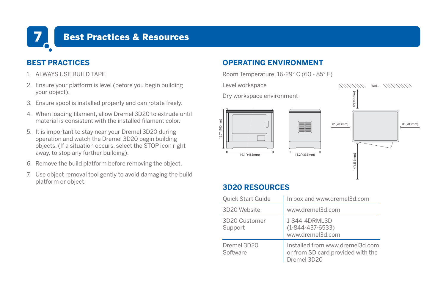

#### 7 Best Practices & Resources

#### **BEST PRACTICES**

- 1. ALWAYS USE BUILD TAPE.
- 2. Ensure your platform is level (before you begin building your object).
- 3. Ensure spool is installed properly and can rotate freely.
- 4. When loading filament, allow Dremel 3D20 to extrude until material is consistent with the installed filament color.
- 5. It is important to stay near your Dremel 3D20 during operation and watch the Dremel 3D20 begin building objects. (If a situation occurs, select the STOP icon right away, to stop any further building).
- 6. Remove the build platform before removing the object.
- 7. Use object removal tool gently to avoid damaging the build platform or object.

#### **OPERATING ENVIRONMENT**

Room Temperature: 16-29° C (60 - 85° F)

Level workspace

Dry workspace environment



WALL

#### **3D20 RESOURCES**

| Quick Start Guide        | In box and www.dremel3d.com                                                         |
|--------------------------|-------------------------------------------------------------------------------------|
| 3D20 Website             | www.dremel3d.com                                                                    |
| 3D20 Customer<br>Support | 1-844-4DRML3D<br>$(1 - 844 - 437 - 6533)$<br>www.dremel3d.com                       |
| Dremel 3D20<br>Software  | Installed from www.dremel3d.com<br>or from SD card provided with the<br>Dremel 3D20 |